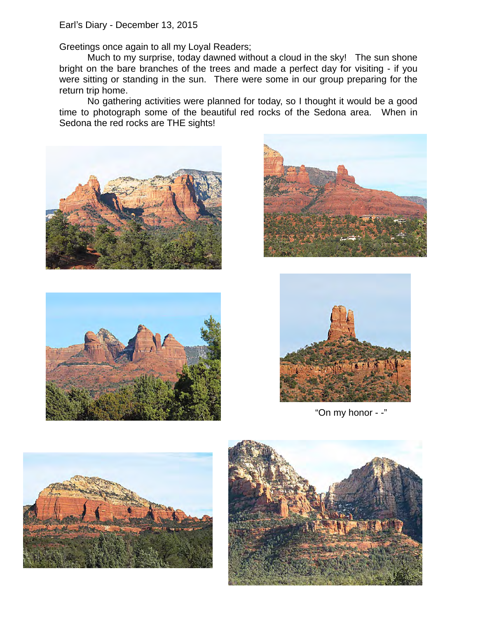Earl's Diary - December 13, 2015

Greetings once again to all my Loyal Readers;

Much to my surprise, today dawned without a cloud in the sky! The sun shone bright on the bare branches of the trees and made a perfect day for visiting - if you were sitting or standing in the sun. There were some in our group preparing for the return trip home.

No gathering activities were planned for today, so I thought it would be a good time to photograph some of the beautiful red rocks of the Sedona area. When in Sedona the red rocks are THE sights!









"On my honor - -"